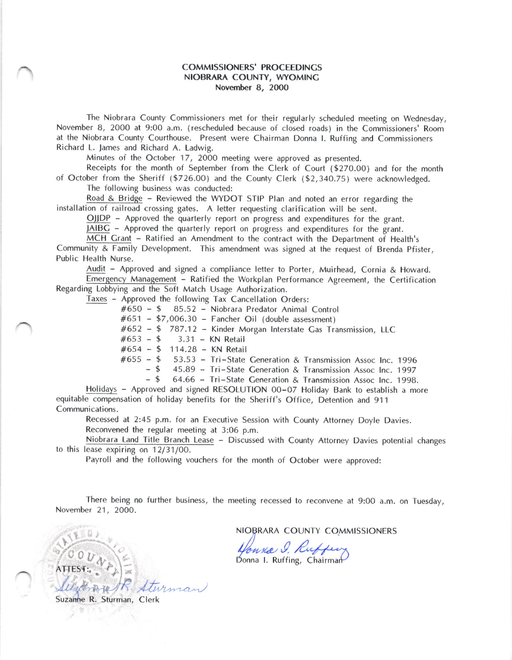## COMMISSIONERS' PROCEEDINCS NIOBRARA COUNTY, WYOMINC Novernber 8, 2000

The Niobrara County Commissioners met for their regularly scheduled meeting on Wednesday, November B, 2000 at 9:00 a.m. (rescheduled because of closed roads) in the Commissioners' Room at the Niobrara County Courthouse. Present were Chairman Donna L Ruffing and Commissioners Richard L. James and Richard A. Ladwig.

Minutes of the October 17, 2OOO meeting were approved as presented.

Receipts for the month of September from the Clerk of Court (\$27O.O0) and for the month of October from the Sheriff (\$726.00) and the County Clerk (\$2,340.75) were acknowledged. The following business was conducted:

Road & Bridge - Reviewed the WYDOT STIP Plan and noted an error regarding the installation of railroad crossing gates. A letter requesting clarification will be sent.

OJIDP - Approved the quarterly report on progress and expenditures for the grant.

JAIBC - Approved the quarterly report on progress and expenditures for the grant.

MCH Crant - Ratified an Amendment to the contract with the Department of Health's Community & Family Development. This amendment was signed at the request of Brenda Pfister, Public Health Nurse.

Audit - Approved and signed a compliance letter to Porter, Muirhead, Cornia & Howard.

Emergency Management - Ratified the Workplan Performance Agreement, the Certification Regarding Lobbying and the Soft Match Usage Authorization.

Taxes - Approved the following Tax Cancellation Orders:

#650 - \$ 85.52 - Niobrara Predator Animal Control

#651 - \$7,006.30 - Fancher Oil (double assessment)

 $#652 - $ 787.12 -$  Kinder Morgan Interstate Gas Transmission, LLC<br> $#653 - $ 3.31 -$  KN Retail

 $3.31 - KN$  Retail

#654 - \$ 114.28 - KN Retail

 $-$  \$ 53.53 - Tri-State Generation & Transmission Assoc Inc. 1996<br>- \$ 45.89 - Tri-State Generation & Transmission Assoc Inc. 1997

- \$ 45.89 - Tri-State Generation & Transmission Assoc Inc. 1997<br>- \$ 64.66 - Tri-State Generation & Transmission Assoc Inc. 1998

64.66 - Tri-State Generation & Transmission Assoc Inc. 1998.

Holidays - Approved and signed RESOLUTION 00-07 Holiday Bank to establish a more equitable compensation of holiday benefits for the Sheriff's Office, Detention and 911 Communications.

Recessed at 2:45 p.m. for an Executive Session with County Attorney Doyle Davies. Reconvened the regular meeting at 3:06 p.m.

Niobrara Land Title Branch Lease - Discussed with County Attorney Davies potential changes<br>to this lease expiring on 12/31/00.

Payroll and the following vouchers for the month of October were approved:

There being no further business, the meeting recessed to reconvene at 9:00 a.m. on Tuesday, November 21, 2000.

> NIOBRARA COUNTY COMMISSIONERS Monna 9. Ruffen

Suzanhe R. Sturman, Clerk

ATTEST:  $60 - 10$